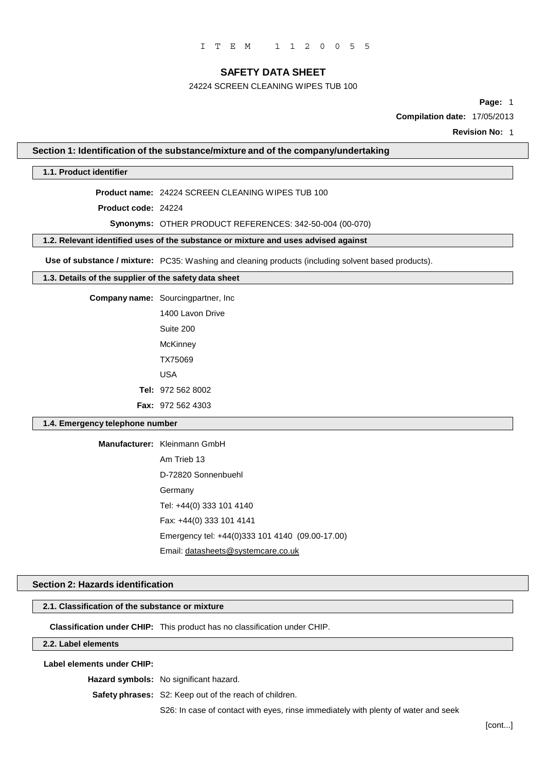## 24224 SCREEN CLEANING WIPES TUB 100

**Page:** 1

**Compilation date:** 17/05/2013

**Revision No:** 1

#### **Section 1: Identification of the substance/mixture and of the company/undertaking**

#### **1.1. Product identifier**

**Product name:** 24224 SCREEN CLEANING WIPES TUB 100

**Product code:** 24224

#### **Synonyms:** OTHER PRODUCT REFERENCES: 342-50-004 (00-070)

**1.2. Relevant identified uses of the substance or mixture and uses advised against**

**Use of substance / mixture:** PC35: Washing and cleaning products (including solvent based products).

## **1.3. Details of the supplier of the safety data sheet**

**Company name:** Sourcingpartner, Inc

1400 Lavon Drive Suite 200 **McKinney** TX75069 USA **Tel:** 972 562 8002 **Fax:** 972 562 4303

#### **1.4. Emergency telephone number**

**Manufacturer:** Kleinmann GmbH

Am Trieb 13 D-72820 Sonnenbuehl Germany Tel: +44(0) 333 101 4140 Fax: +44(0) 333 101 4141 Emergency tel: +44(0)333 101 4140 (09.00-17.00) Email: [datasheets@systemcare.co.uk](mailto:datasheets@systemcare.co.uk)

#### **Section 2: Hazards identification**

### **2.1. Classification of the substance or mixture**

**Classification under CHIP:** This product has no classification under CHIP.

### **2.2. Label elements**

**Label elements under CHIP:**

**Hazard symbols:** No significant hazard.

**Safety phrases:** S2: Keep out of the reach of children.

S26: In case of contact with eyes, rinse immediately with plenty of water and seek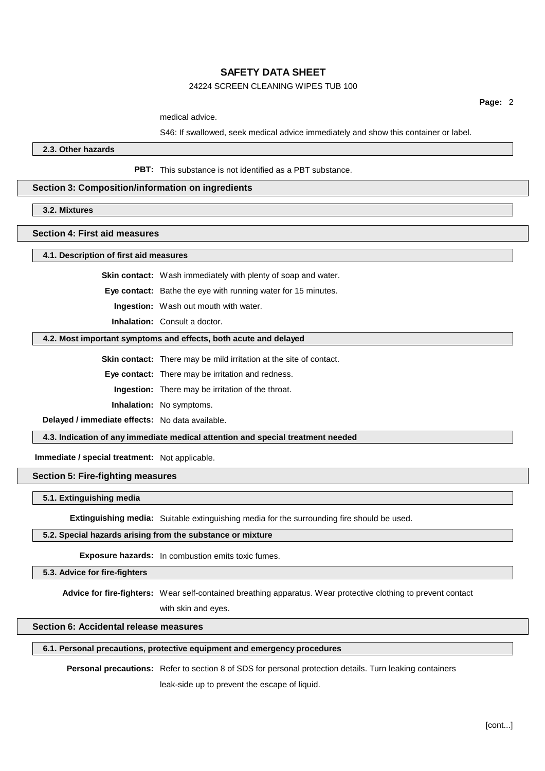## 24224 SCREEN CLEANING WIPES TUB 100

**Page:** 2

medical advice.

S46: If swallowed, seek medical advice immediately and show this container or label.

**2.3. Other hazards**

**PBT:** This substance is not identified as a PBT substance.

## **Section 3: Composition/information on ingredients**

**3.2. Mixtures**

#### **Section 4: First aid measures**

**4.1. Description of first aid measures**

**Skin contact:** Wash immediately with plenty of soap and water.

**Eye contact:** Bathe the eye with running water for 15 minutes.

**Ingestion:** Wash out mouth with water.

**Inhalation:** Consult a doctor.

#### **4.2. Most important symptoms and effects, both acute and delayed**

**Skin contact:** There may be mild irritation at the site of contact.

**Eye contact:** There may be irritation and redness.

**Ingestion:** There may be irritation of the throat.

**Inhalation:** No symptoms.

**Delayed / immediate effects:** No data available.

**4.3. Indication of any immediate medical attention and special treatment needed**

**Immediate / special treatment:** Not applicable.

**Section 5: Fire-fighting measures**

#### **5.1. Extinguishing media**

**Extinguishing media:** Suitable extinguishing media for the surrounding fire should be used.

## **5.2. Special hazards arising from the substance or mixture**

**Exposure hazards:** In combustion emits toxic fumes.

#### **5.3. Advice for fire-fighters**

**Advice for fire-fighters:** Wear self-contained breathing apparatus. Wear protective clothing to prevent contact with skin and eyes.

## **Section 6: Accidental release measures**

### **6.1. Personal precautions, protective equipment and emergency procedures**

**Personal precautions:** Refer to section 8 of SDS for personal protection details. Turn leaking containers

leak-side up to prevent the escape of liquid.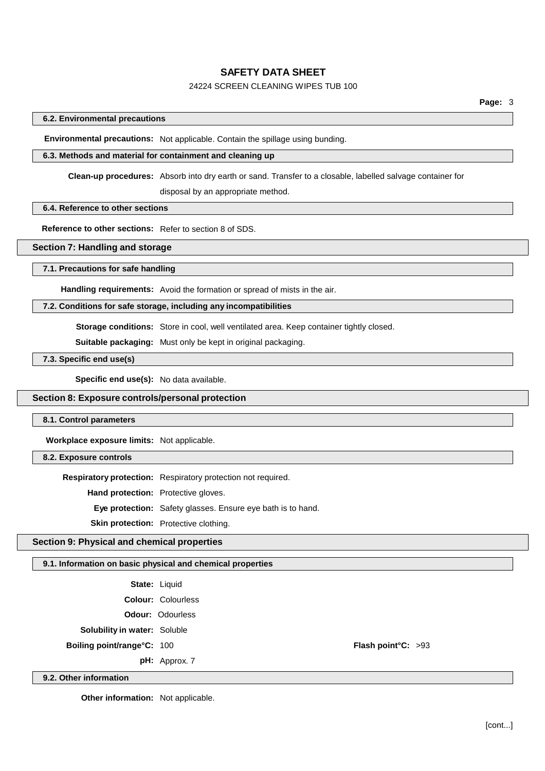# 24224 SCREEN CLEANING WIPES TUB 100

## **6.2. Environmental precautions**

**Environmental precautions:** Not applicable. Contain the spillage using bunding.

# **6.3. Methods and material for containment and cleaning up**

**Clean-up procedures:** Absorb into dry earth or sand. Transfer to a closable, labelled salvage container for disposal by an appropriate method.

## **6.4. Reference to other sections**

**Reference to other sections:** Refer to section 8 of SDS.

## **Section 7: Handling and storage**

#### **7.1. Precautions for safe handling**

**Handling requirements:** Avoid the formation or spread of mists in the air.

## **7.2. Conditions for safe storage, including any incompatibilities**

**Storage conditions:** Store in cool, well ventilated area. Keep container tightly closed.

**Suitable packaging:** Must only be kept in original packaging.

**7.3. Specific end use(s)**

**Specific end use(s):** No data available.

## **Section 8: Exposure controls/personal protection**

### **8.1. Control parameters**

**Workplace exposure limits:** Not applicable.

## **8.2. Exposure controls**

**9.2. Other information**

**Respiratory protection:** Respiratory protection not required.

**Hand protection:** Protective gloves.

**Eye protection:** Safety glasses. Ensure eye bath is to hand.

**Skin protection:** Protective clothing.

## **Section 9: Physical and chemical properties**

### **9.1. Information on basic physical and chemical properties**

|                                     | <b>State: Liquid</b>      |                    |  |
|-------------------------------------|---------------------------|--------------------|--|
|                                     | <b>Colour: Colourless</b> |                    |  |
|                                     | <b>Odour: Odourless</b>   |                    |  |
| <b>Solubility in water: Soluble</b> |                           |                    |  |
| <b>Boiling point/range°C: 100</b>   |                           | Flash point°C: >93 |  |
|                                     | $pH:$ Approx. 7           |                    |  |

**Other information:** Not applicable.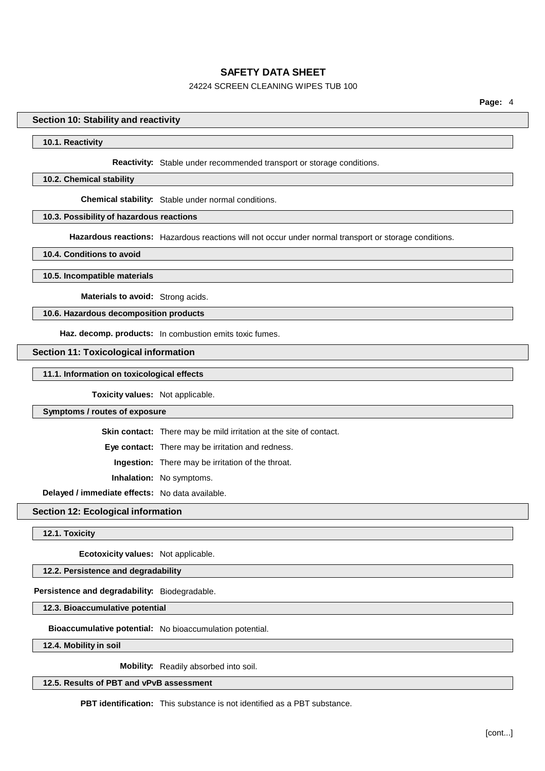## 24224 SCREEN CLEANING WIPES TUB 100

### **Section 10: Stability and reactivity**

#### **10.1. Reactivity**

**Reactivity:** Stable under recommended transport or storage conditions.

#### **10.2. Chemical stability**

**Chemical stability:** Stable under normal conditions.

### **10.3. Possibility of hazardous reactions**

**Hazardous reactions:** Hazardous reactions will not occur under normal transport or storage conditions.

**10.4. Conditions to avoid**

**10.5. Incompatible materials**

**Materials to avoid:** Strong acids.

## **10.6. Hazardous decomposition products**

**Haz. decomp. products:** In combustion emits toxic fumes.

### **Section 11: Toxicological information**

**11.1. Information on toxicological effects**

**Toxicity values:** Not applicable.

**Symptoms / routes of exposure**

**Skin contact:** There may be mild irritation at the site of contact.

**Eye contact:** There may be irritation and redness.

**Ingestion:** There may be irritation of the throat.

**Inhalation:** No symptoms.

**Delayed / immediate effects:** No data available.

**Section 12: Ecological information**

**12.1. Toxicity**

**Ecotoxicity values:** Not applicable.

## **12.2. Persistence and degradability**

## **Persistence and degradability:** Biodegradable.

**12.3. Bioaccumulative potential**

**Bioaccumulative potential:** No bioaccumulation potential.

**12.4. Mobility in soil**

**Mobility:** Readily absorbed into soil.

**12.5. Results of PBT and vPvB assessment**

**PBT identification:** This substance is not identified as a PBT substance.